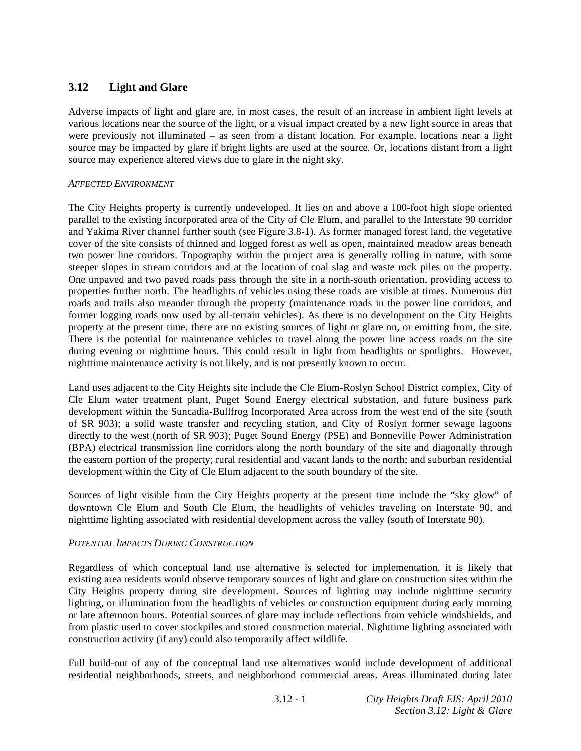# **3.12 Light and Glare**

Adverse impacts of light and glare are, in most cases, the result of an increase in ambient light levels at various locations near the source of the light, or a visual impact created by a new light source in areas that were previously not illuminated – as seen from a distant location. For example, locations near a light source may be impacted by glare if bright lights are used at the source. Or, locations distant from a light source may experience altered views due to glare in the night sky.

## *AFFECTED ENVIRONMENT*

The City Heights property is currently undeveloped. It lies on and above a 100-foot high slope oriented parallel to the existing incorporated area of the City of Cle Elum, and parallel to the Interstate 90 corridor and Yakima River channel further south (see Figure 3.8-1). As former managed forest land, the vegetative cover of the site consists of thinned and logged forest as well as open, maintained meadow areas beneath two power line corridors. Topography within the project area is generally rolling in nature, with some steeper slopes in stream corridors and at the location of coal slag and waste rock piles on the property. One unpaved and two paved roads pass through the site in a north-south orientation, providing access to properties further north. The headlights of vehicles using these roads are visible at times. Numerous dirt roads and trails also meander through the property (maintenance roads in the power line corridors, and former logging roads now used by all-terrain vehicles). As there is no development on the City Heights property at the present time, there are no existing sources of light or glare on, or emitting from, the site. There is the potential for maintenance vehicles to travel along the power line access roads on the site during evening or nighttime hours. This could result in light from headlights or spotlights. However, nighttime maintenance activity is not likely, and is not presently known to occur.

Land uses adjacent to the City Heights site include the Cle Elum-Roslyn School District complex, City of Cle Elum water treatment plant, Puget Sound Energy electrical substation, and future business park development within the Suncadia-Bullfrog Incorporated Area across from the west end of the site (south of SR 903); a solid waste transfer and recycling station, and City of Roslyn former sewage lagoons directly to the west (north of SR 903); Puget Sound Energy (PSE) and Bonneville Power Administration (BPA) electrical transmission line corridors along the north boundary of the site and diagonally through the eastern portion of the property; rural residential and vacant lands to the north; and suburban residential development within the City of Cle Elum adjacent to the south boundary of the site.

Sources of light visible from the City Heights property at the present time include the "sky glow" of downtown Cle Elum and South Cle Elum, the headlights of vehicles traveling on Interstate 90, and nighttime lighting associated with residential development across the valley (south of Interstate 90).

# *POTENTIAL IMPACTS DURING CONSTRUCTION*

Regardless of which conceptual land use alternative is selected for implementation, it is likely that existing area residents would observe temporary sources of light and glare on construction sites within the City Heights property during site development. Sources of lighting may include nighttime security lighting, or illumination from the headlights of vehicles or construction equipment during early morning or late afternoon hours. Potential sources of glare may include reflections from vehicle windshields, and from plastic used to cover stockpiles and stored construction material. Nighttime lighting associated with construction activity (if any) could also temporarily affect wildlife.

Full build-out of any of the conceptual land use alternatives would include development of additional residential neighborhoods, streets, and neighborhood commercial areas. Areas illuminated during later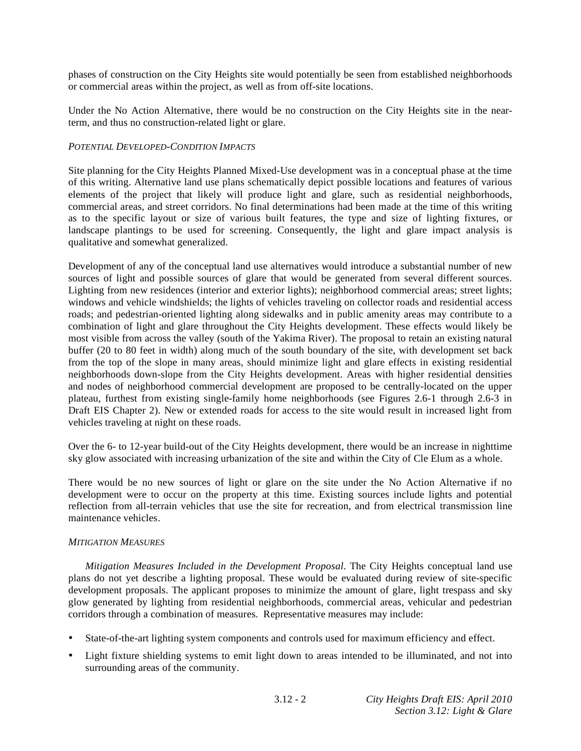phases of construction on the City Heights site would potentially be seen from established neighborhoods or commercial areas within the project, as well as from off-site locations.

Under the No Action Alternative, there would be no construction on the City Heights site in the nearterm, and thus no construction-related light or glare.

### *POTENTIAL DEVELOPED-CONDITION IMPACTS*

Site planning for the City Heights Planned Mixed-Use development was in a conceptual phase at the time of this writing. Alternative land use plans schematically depict possible locations and features of various elements of the project that likely will produce light and glare, such as residential neighborhoods, commercial areas, and street corridors. No final determinations had been made at the time of this writing as to the specific layout or size of various built features, the type and size of lighting fixtures, or landscape plantings to be used for screening. Consequently, the light and glare impact analysis is qualitative and somewhat generalized.

Development of any of the conceptual land use alternatives would introduce a substantial number of new sources of light and possible sources of glare that would be generated from several different sources. Lighting from new residences (interior and exterior lights); neighborhood commercial areas; street lights; windows and vehicle windshields; the lights of vehicles traveling on collector roads and residential access roads; and pedestrian-oriented lighting along sidewalks and in public amenity areas may contribute to a combination of light and glare throughout the City Heights development. These effects would likely be most visible from across the valley (south of the Yakima River). The proposal to retain an existing natural buffer (20 to 80 feet in width) along much of the south boundary of the site, with development set back from the top of the slope in many areas, should minimize light and glare effects in existing residential neighborhoods down-slope from the City Heights development. Areas with higher residential densities and nodes of neighborhood commercial development are proposed to be centrally-located on the upper plateau, furthest from existing single-family home neighborhoods (see Figures 2.6-1 through 2.6-3 in Draft EIS Chapter 2). New or extended roads for access to the site would result in increased light from vehicles traveling at night on these roads.

Over the 6- to 12-year build-out of the City Heights development, there would be an increase in nighttime sky glow associated with increasing urbanization of the site and within the City of Cle Elum as a whole.

There would be no new sources of light or glare on the site under the No Action Alternative if no development were to occur on the property at this time. Existing sources include lights and potential reflection from all-terrain vehicles that use the site for recreation, and from electrical transmission line maintenance vehicles.

#### *MITIGATION MEASURES*

*Mitigation Measures Included in the Development Proposal*. The City Heights conceptual land use plans do not yet describe a lighting proposal. These would be evaluated during review of site-specific development proposals. The applicant proposes to minimize the amount of glare, light trespass and sky glow generated by lighting from residential neighborhoods, commercial areas, vehicular and pedestrian corridors through a combination of measures. Representative measures may include:

- State-of-the-art lighting system components and controls used for maximum efficiency and effect.
- Light fixture shielding systems to emit light down to areas intended to be illuminated, and not into surrounding areas of the community.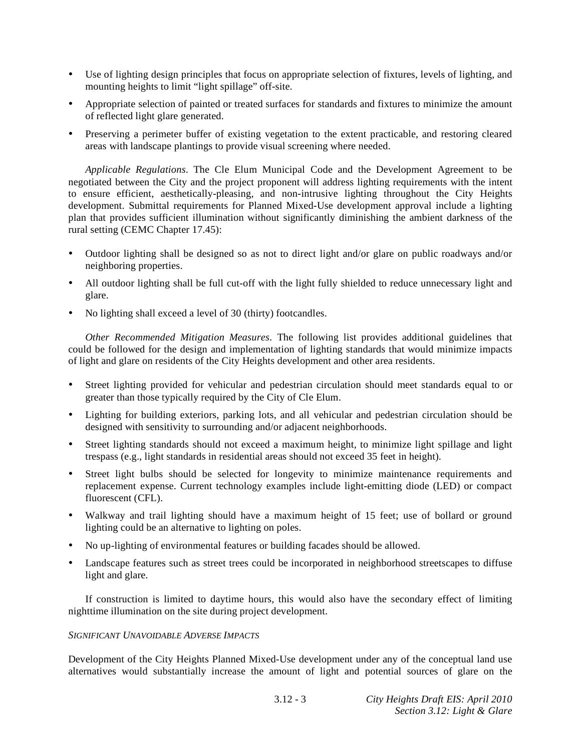- Use of lighting design principles that focus on appropriate selection of fixtures, levels of lighting, and mounting heights to limit "light spillage" off-site.
- Appropriate selection of painted or treated surfaces for standards and fixtures to minimize the amount of reflected light glare generated.
- Preserving a perimeter buffer of existing vegetation to the extent practicable, and restoring cleared areas with landscape plantings to provide visual screening where needed.

*Applicable Regulations*. The Cle Elum Municipal Code and the Development Agreement to be negotiated between the City and the project proponent will address lighting requirements with the intent to ensure efficient, aesthetically-pleasing, and non-intrusive lighting throughout the City Heights development. Submittal requirements for Planned Mixed-Use development approval include a lighting plan that provides sufficient illumination without significantly diminishing the ambient darkness of the rural setting (CEMC Chapter 17.45):

- Outdoor lighting shall be designed so as not to direct light and/or glare on public roadways and/or neighboring properties.
- All outdoor lighting shall be full cut-off with the light fully shielded to reduce unnecessary light and glare.
- No lighting shall exceed a level of 30 (thirty) footcandles.

*Other Recommended Mitigation Measures*. The following list provides additional guidelines that could be followed for the design and implementation of lighting standards that would minimize impacts of light and glare on residents of the City Heights development and other area residents.

- Street lighting provided for vehicular and pedestrian circulation should meet standards equal to or greater than those typically required by the City of Cle Elum.
- Lighting for building exteriors, parking lots, and all vehicular and pedestrian circulation should be designed with sensitivity to surrounding and/or adjacent neighborhoods.
- Street lighting standards should not exceed a maximum height, to minimize light spillage and light trespass (e.g., light standards in residential areas should not exceed 35 feet in height).
- Street light bulbs should be selected for longevity to minimize maintenance requirements and replacement expense. Current technology examples include light-emitting diode (LED) or compact fluorescent (CFL).
- Walkway and trail lighting should have a maximum height of 15 feet; use of bollard or ground lighting could be an alternative to lighting on poles.
- No up-lighting of environmental features or building facades should be allowed.
- Landscape features such as street trees could be incorporated in neighborhood streetscapes to diffuse light and glare.

 If construction is limited to daytime hours, this would also have the secondary effect of limiting nighttime illumination on the site during project development.

#### *SIGNIFICANT UNAVOIDABLE ADVERSE IMPACTS*

Development of the City Heights Planned Mixed-Use development under any of the conceptual land use alternatives would substantially increase the amount of light and potential sources of glare on the